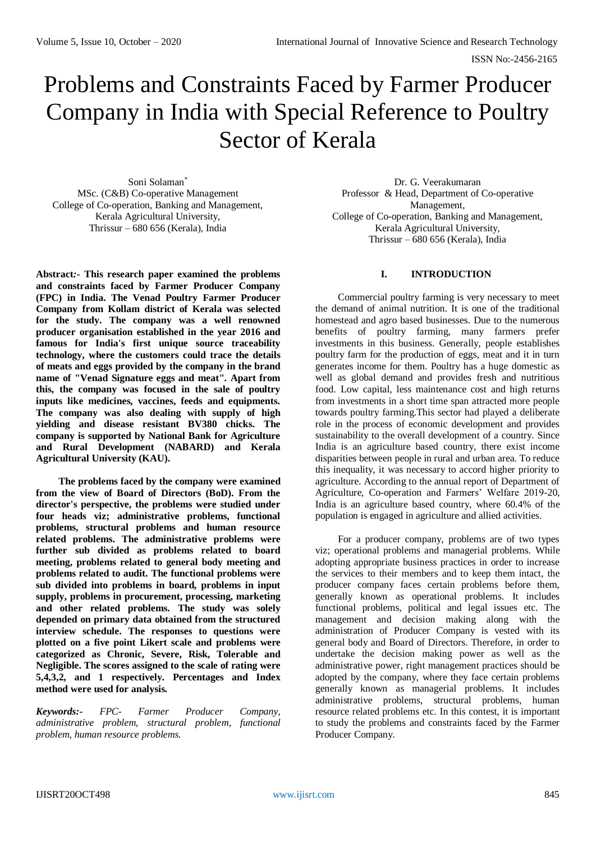# Problems and Constraints Faced by Farmer Producer Company in India with Special Reference to Poultry Sector of Kerala

Soni Solaman\* MSc. (C&B) Co-operative Management College of Co-operation, Banking and Management, Kerala Agricultural University, Thrissur – 680 656 (Kerala), India

**Abstract***:-* **This research paper examined the problems and constraints faced by Farmer Producer Company (FPC) in India. The Venad Poultry Farmer Producer Company from Kollam district of Kerala was selected for the study. The company was a well renowned producer organisation established in the year 2016 and famous for India's first unique source traceability technology, where the customers could trace the details of meats and eggs provided by the company in the brand name of "Venad Signature eggs and meat". Apart from this, the company was focused in the sale of poultry inputs like medicines, vaccines, feeds and equipments. The company was also dealing with supply of high yielding and disease resistant BV380 chicks. The company is supported by National Bank for Agriculture and Rural Development (NABARD) and Kerala Agricultural University (KAU).** 

**The problems faced by the company were examined from the view of Board of Directors (BoD). From the director's perspective, the problems were studied under four heads viz; administrative problems, functional problems, structural problems and human resource related problems. The administrative problems were further sub divided as problems related to board meeting, problems related to general body meeting and problems related to audit. The functional problems were sub divided into problems in board, problems in input supply, problems in procurement, processing, marketing and other related problems. The study was solely depended on primary data obtained from the structured interview schedule. The responses to questions were plotted on a five point Likert scale and problems were categorized as Chronic, Severe, Risk, Tolerable and Negligible. The scores assigned to the scale of rating were 5,4,3,2, and 1 respectively. Percentages and Index method were used for analysis.**

*Keywords:- FPC- Farmer Producer Company, administrative problem, structural problem, functional problem, human resource problems.*

Dr. G. Veerakumaran Professor & Head, Department of Co-operative Management, College of Co-operation, Banking and Management, Kerala Agricultural University, Thrissur – 680 656 (Kerala), India

# **I. INTRODUCTION**

Commercial poultry farming is very necessary to meet the demand of animal nutrition. It is one of the traditional homestead and agro based businesses. Due to the numerous benefits of poultry farming, many farmers prefer investments in this business. Generally, people establishes poultry farm for the production of eggs, meat and it in turn generates income for them. Poultry has a huge domestic as well as global demand and provides fresh and nutritious food. Low capital, less maintenance cost and high returns from investments in a short time span attracted more people towards poultry farming.This sector had played a deliberate role in the process of economic development and provides sustainability to the overall development of a country. Since India is an agriculture based country, there exist income disparities between people in rural and urban area. To reduce this inequality, it was necessary to accord higher priority to agriculture. According to the annual report of Department of Agriculture, Co-operation and Farmers' Welfare 2019-20, India is an agriculture based country, where 60.4% of the population is engaged in agriculture and allied activities.

For a producer company, problems are of two types viz; operational problems and managerial problems. While adopting appropriate business practices in order to increase the services to their members and to keep them intact, the producer company faces certain problems before them, generally known as operational problems. It includes functional problems, political and legal issues etc. The management and decision making along with the administration of Producer Company is vested with its general body and Board of Directors. Therefore, in order to undertake the decision making power as well as the administrative power, right management practices should be adopted by the company, where they face certain problems generally known as managerial problems. It includes administrative problems, structural problems, human resource related problems etc. In this contest, it is important to study the problems and constraints faced by the Farmer Producer Company.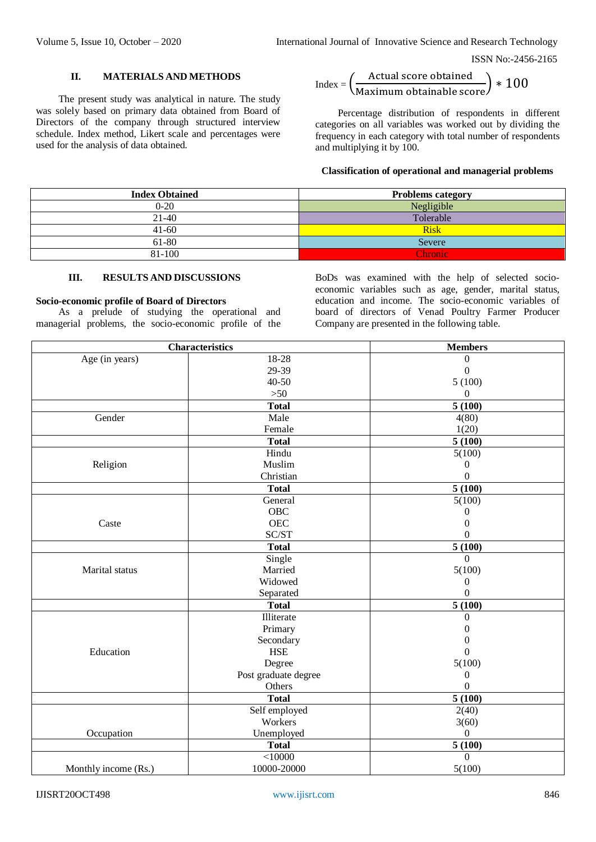# **II. MATERIALS AND METHODS**

The present study was analytical in nature. The study was solely based on primary data obtained from Board of Directors of the company through structured interview schedule. Index method, Likert scale and percentages were used for the analysis of data obtained.

$$
Index = \left(\frac{Actual\ score\ obtained}{Maximum\ obtainable\ score}\right) * 100
$$

Percentage distribution of respondents in different categories on all variables was worked out by dividing the frequency in each category with total number of respondents and multiplying it by 100.

### **Classification of operational and managerial problems**

| <b>Index Obtained</b> | <b>Problems category</b> |
|-----------------------|--------------------------|
| $0 - 20$              | Negligible               |
| $21-40$               | Tolerable                |
| $41-60$               | <b>Risk</b>              |
| 61-80                 | Severe                   |
| 81-100                | <b>Chronic</b>           |

#### **III. RESULTS AND DISCUSSIONS**

## **Socio-economic profile of Board of Directors**

As a prelude of studying the operational and managerial problems, the socio-economic profile of the

BoDs was examined with the help of selected socioeconomic variables such as age, gender, marital status, education and income. The socio-economic variables of board of directors of Venad Poultry Farmer Producer Company are presented in the following table.

|                      | <b>Characteristics</b> | <b>Members</b>       |
|----------------------|------------------------|----------------------|
| Age (in years)       | 18-28                  | 0                    |
|                      | 29-39                  | $\theta$             |
|                      | $40 - 50$              | 5(100)               |
|                      | $>50$                  | $\Omega$             |
|                      | <b>Total</b>           | 5(100)               |
| Gender               | Male                   | 4(80)                |
|                      | Female                 | 1(20)                |
|                      | <b>Total</b>           | 5(100)               |
|                      | Hindu                  | 5(100)               |
| Religion             | Muslim                 | 0                    |
|                      | Christian              | $\theta$             |
|                      | <b>Total</b>           | 5(100)               |
|                      | General                | 5(100)               |
|                      | OBC                    | 0                    |
| Caste                | <b>OEC</b>             | $\boldsymbol{0}$     |
|                      | SC/ST                  | $\overline{0}$       |
|                      | <b>Total</b>           | 5(100)               |
|                      | Single                 | $\Omega$             |
| Marital status       | Married                | 5(100)               |
|                      | Widowed                | $\theta$             |
|                      | Separated              | $\Omega$             |
|                      | <b>Total</b>           | 5(100)               |
|                      | Illiterate             | $\overline{0}$       |
|                      | Primary                | $\overline{0}$       |
|                      | Secondary              | 0                    |
| Education            | <b>HSE</b>             | $\theta$             |
|                      | Degree                 | 5(100)               |
|                      | Post graduate degree   | $\theta$             |
|                      | Others                 | 0                    |
|                      | <b>Total</b>           | 5(100)               |
|                      | Self employed          | 2(40)                |
|                      | Workers                | 3(60)                |
| Occupation           | Unemployed             | $\Omega$             |
|                      | <b>Total</b>           | $\overline{5}$ (100) |
|                      | < 10000                | $\overline{0}$       |
| Monthly income (Rs.) | 10000-20000            | 5(100)               |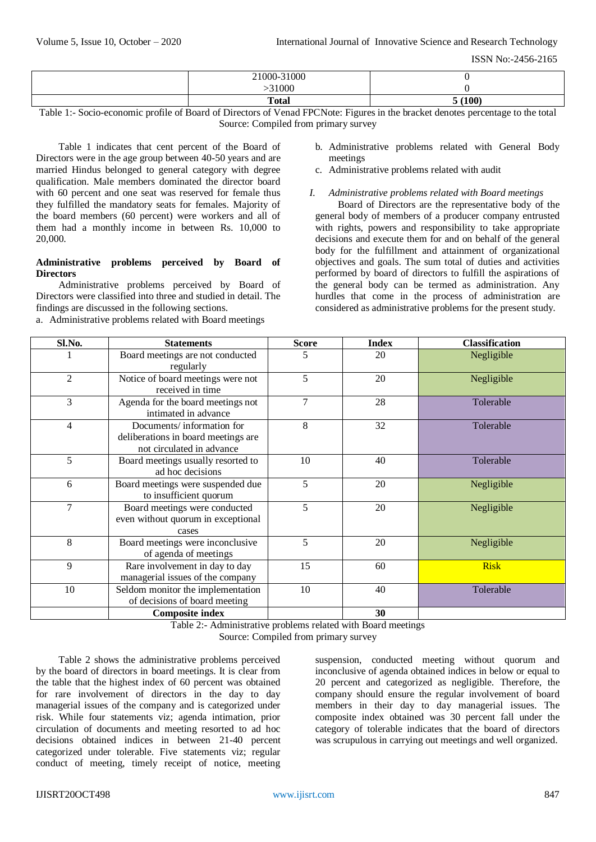| $-31000$<br>21000-2 |       |
|---------------------|-------|
| 31000               |       |
| <b>Total</b>        | (100) |

Table 1:- Socio-economic profile of Board of Directors of Venad FPCNote: Figures in the bracket denotes percentage to the total Source: Compiled from primary survey

Table 1 indicates that cent percent of the Board of Directors were in the age group between 40-50 years and are married Hindus belonged to general category with degree qualification. Male members dominated the director board with 60 percent and one seat was reserved for female thus they fulfilled the mandatory seats for females. Majority of the board members (60 percent) were workers and all of them had a monthly income in between Rs. 10,000 to 20,000.

# **Administrative problems perceived by Board of Directors**

Administrative problems perceived by Board of Directors were classified into three and studied in detail. The findings are discussed in the following sections.

a. Administrative problems related with Board meetings

- b. Administrative problems related with General Body meetings
- c. Administrative problems related with audit
- *I. Administrative problems related with Board meetings*

Board of Directors are the representative body of the general body of members of a producer company entrusted with rights, powers and responsibility to take appropriate decisions and execute them for and on behalf of the general body for the fulfillment and attainment of organizational objectives and goals. The sum total of duties and activities performed by board of directors to fulfill the aspirations of the general body can be termed as administration. Any hurdles that come in the process of administration are considered as administrative problems for the present study.

| Sl.No. | <b>Statements</b>                                                                             | <b>Score</b> | <b>Index</b> | <b>Classification</b> |
|--------|-----------------------------------------------------------------------------------------------|--------------|--------------|-----------------------|
|        | Board meetings are not conducted<br>regularly                                                 | 5            | 20           | Negligible            |
| 2      | Notice of board meetings were not<br>received in time                                         | 5            | 20           | Negligible            |
| 3      | Agenda for the board meetings not<br>intimated in advance                                     | 7            | 28           | Tolerable             |
| 4      | Documents/information for<br>deliberations in board meetings are<br>not circulated in advance | 8            | 32           | Tolerable             |
| 5      | Board meetings usually resorted to<br>ad hoc decisions                                        | 10           | 40           | Tolerable             |
| 6      | Board meetings were suspended due<br>to insufficient quorum                                   | 5            | 20           | Negligible            |
| 7      | Board meetings were conducted<br>even without quorum in exceptional<br>cases                  | 5            | 20           | Negligible            |
| 8      | Board meetings were inconclusive<br>of agenda of meetings                                     | 5            | 20           | Negligible            |
| 9      | Rare involvement in day to day<br>managerial issues of the company                            | 15           | 60           | <b>Risk</b>           |
| 10     | Seldom monitor the implementation<br>of decisions of board meeting                            | 10           | 40           | Tolerable             |
|        | <b>Composite index</b>                                                                        |              | 30           |                       |

Table 2:- Administrative problems related with Board meetings

Source: Compiled from primary survey

Table 2 shows the administrative problems perceived by the board of directors in board meetings. It is clear from the table that the highest index of 60 percent was obtained for rare involvement of directors in the day to day managerial issues of the company and is categorized under risk. While four statements viz; agenda intimation, prior circulation of documents and meeting resorted to ad hoc decisions obtained indices in between 21-40 percent categorized under tolerable. Five statements viz; regular conduct of meeting, timely receipt of notice, meeting

suspension, conducted meeting without quorum and inconclusive of agenda obtained indices in below or equal to 20 percent and categorized as negligible. Therefore, the company should ensure the regular involvement of board members in their day to day managerial issues. The composite index obtained was 30 percent fall under the category of tolerable indicates that the board of directors was scrupulous in carrying out meetings and well organized.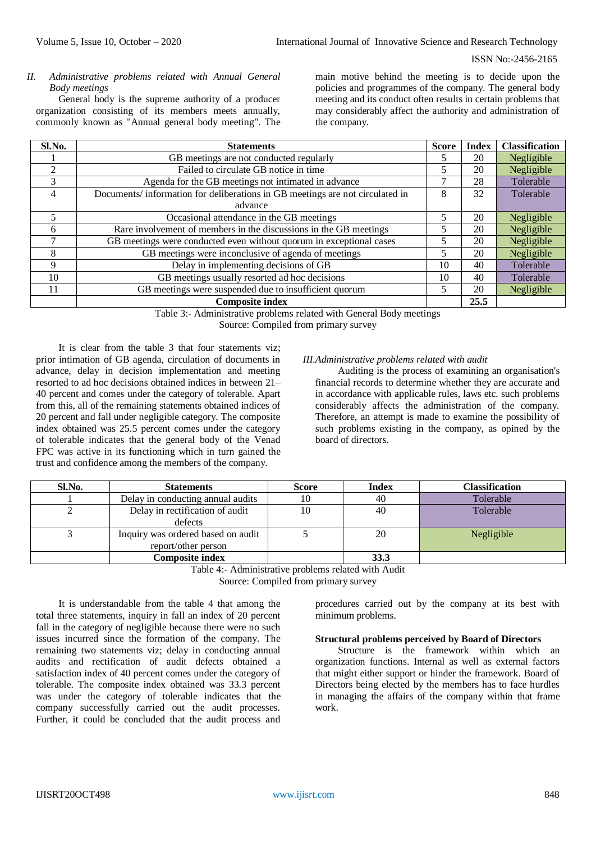*II. Administrative problems related with Annual General Body meetings*

General body is the supreme authority of a producer organization consisting of its members meets annually, commonly known as "Annual general body meeting". The

main motive behind the meeting is to decide upon the policies and programmes of the company. The general body meeting and its conduct often results in certain problems that may considerably affect the authority and administration of the company.

| Sl.No.         | <b>Score</b><br><b>Statements</b>                                            |    | <b>Index</b> | <b>Classification</b> |
|----------------|------------------------------------------------------------------------------|----|--------------|-----------------------|
|                | GB meetings are not conducted regularly                                      |    | 20           | Negligible            |
| 2              | Failed to circulate GB notice in time                                        | 5  | 20           | Negligible            |
| 3              | Agenda for the GB meetings not intimated in advance                          | ┑  | 28           | Tolerable             |
| $\overline{4}$ | Documents/information for deliberations in GB meetings are not circulated in | 8  | 32           | Tolerable             |
|                | advance                                                                      |    |              |                       |
|                | Occasional attendance in the GB meetings                                     | 5  | 20           | Negligible            |
| 6              | Rare involvement of members in the discussions in the GB meetings            | 5  | 20           | Negligible            |
|                | GB meetings were conducted even without quorum in exceptional cases          | 5  | 20           | Negligible            |
| 8              | GB meetings were inconclusive of agenda of meetings                          | 5  | 20           | Negligible            |
| 9              | Delay in implementing decisions of GB                                        | 10 | 40           | Tolerable             |
| 10             | GB meetings usually resorted ad hoc decisions                                |    | 40           | Tolerable             |
| 11             | GB meetings were suspended due to insufficient quorum                        | 5  | 20           | Negligible            |
|                | <b>Composite index</b>                                                       |    | 25.5         |                       |

Table 3:- Administrative problems related with General Body meetings

Source: Compiled from primary survey

It is clear from the table 3 that four statements viz; prior intimation of GB agenda, circulation of documents in advance, delay in decision implementation and meeting resorted to ad hoc decisions obtained indices in between 21– 40 percent and comes under the category of tolerable. Apart from this, all of the remaining statements obtained indices of 20 percent and fall under negligible category. The composite index obtained was 25.5 percent comes under the category of tolerable indicates that the general body of the Venad FPC was active in its functioning which in turn gained the trust and confidence among the members of the company.

### *III.Administrative problems related with audit*

Auditing is the process of examining an organisation's financial records to determine whether they are accurate and in accordance with applicable rules, laws etc. such problems considerably affects the administration of the company. Therefore, an attempt is made to examine the possibility of such problems existing in the company, as opined by the board of directors.

| Sl.No. | <b>Statements</b>                                         | <b>Score</b> | <b>Index</b> | <b>Classification</b> |
|--------|-----------------------------------------------------------|--------------|--------------|-----------------------|
|        | Delay in conducting annual audits                         | 10           | 40           | Tolerable             |
|        | Delay in rectification of audit<br>defects                | 10           | 40           | Tolerable             |
|        | Inquiry was ordered based on audit<br>report/other person |              | 20           | Negligible            |
|        | Composite index                                           |              | 33.3         |                       |

Table 4:- Administrative problems related with Audit Source: Compiled from primary survey

It is understandable from the table 4 that among the total three statements, inquiry in fall an index of 20 percent fall in the category of negligible because there were no such issues incurred since the formation of the company. The remaining two statements viz; delay in conducting annual audits and rectification of audit defects obtained a satisfaction index of 40 percent comes under the category of tolerable. The composite index obtained was 33.3 percent was under the category of tolerable indicates that the company successfully carried out the audit processes. Further, it could be concluded that the audit process and

procedures carried out by the company at its best with minimum problems.

#### **Structural problems perceived by Board of Directors**

Structure is the framework within which an organization functions. Internal as well as external factors that might either support or hinder the framework. Board of Directors being elected by the members has to face hurdles in managing the affairs of the company within that frame work.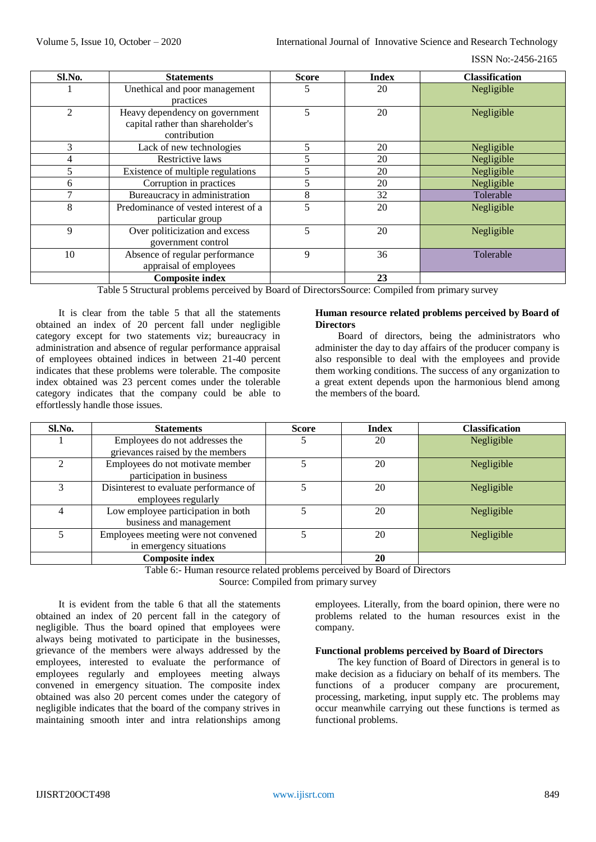ISSN No:-2456-2165

| Sl.No.         | <b>Statements</b>                    | <b>Score</b>            | <b>Index</b> | <b>Classification</b> |
|----------------|--------------------------------------|-------------------------|--------------|-----------------------|
|                | Unethical and poor management        | 5                       | 20           | Negligible            |
|                | practices                            |                         |              |                       |
| $\mathfrak{D}$ | Heavy dependency on government       | 5                       | 20           | Negligible            |
|                | capital rather than shareholder's    |                         |              |                       |
|                | contribution                         |                         |              |                       |
| 3              | Lack of new technologies             | 5                       | 20           | Negligible            |
| 4              | Restrictive laws                     | $\overline{\mathbf{5}}$ | 20           | Negligible            |
| 5              | Existence of multiple regulations    | 5                       | 20           | Negligible            |
| 6              | Corruption in practices              | 5                       | 20           | Negligible            |
|                | Bureaucracy in administration        | 8                       | 32           | Tolerable             |
| 8              | Predominance of vested interest of a | 5                       | 20           | Negligible            |
|                | particular group                     |                         |              |                       |
| 9              | Over politicization and excess       | 5                       | 20           | Negligible            |
|                | government control                   |                         |              |                       |
| 10             | Absence of regular performance       | 9                       | 36           | Tolerable             |
|                | appraisal of employees               |                         |              |                       |
|                | <b>Composite index</b>               |                         | 23           |                       |

Table 5 Structural problems perceived by Board of DirectorsSource: Compiled from primary survey

It is clear from the table 5 that all the statements obtained an index of 20 percent fall under negligible category except for two statements viz; bureaucracy in administration and absence of regular performance appraisal of employees obtained indices in between 21-40 percent indicates that these problems were tolerable. The composite index obtained was 23 percent comes under the tolerable category indicates that the company could be able to effortlessly handle those issues.

## **Human resource related problems perceived by Board of Directors**

Board of directors, being the administrators who administer the day to day affairs of the producer company is also responsible to deal with the employees and provide them working conditions. The success of any organization to a great extent depends upon the harmonious blend among the members of the board.

| Sl.No. | <b>Statements</b>                      | <b>Score</b> | <b>Index</b> | <b>Classification</b> |
|--------|----------------------------------------|--------------|--------------|-----------------------|
|        | Employees do not addresses the         |              | 20           | Negligible            |
|        | grievances raised by the members       |              |              |                       |
|        | Employees do not motivate member       |              | 20           | Negligible            |
|        | participation in business              |              |              |                       |
| 3      | Disinterest to evaluate performance of |              | 20           | Negligible            |
|        | employees regularly                    |              |              |                       |
|        | Low employee participation in both     |              | 20           | Negligible            |
|        | business and management                |              |              |                       |
|        | Employees meeting were not convened    |              | 20           | Negligible            |
|        | in emergency situations                |              |              |                       |
|        | <b>Composite index</b>                 |              | 20           |                       |

Table 6:- Human resource related problems perceived by Board of Directors Source: Compiled from primary survey

It is evident from the table 6 that all the statements obtained an index of 20 percent fall in the category of negligible. Thus the board opined that employees were always being motivated to participate in the businesses, grievance of the members were always addressed by the employees, interested to evaluate the performance of employees regularly and employees meeting always convened in emergency situation. The composite index obtained was also 20 percent comes under the category of negligible indicates that the board of the company strives in maintaining smooth inter and intra relationships among

employees. Literally, from the board opinion, there were no problems related to the human resources exist in the company.

#### **Functional problems perceived by Board of Directors**

The key function of Board of Directors in general is to make decision as a fiduciary on behalf of its members. The functions of a producer company are procurement, processing, marketing, input supply etc. The problems may occur meanwhile carrying out these functions is termed as functional problems.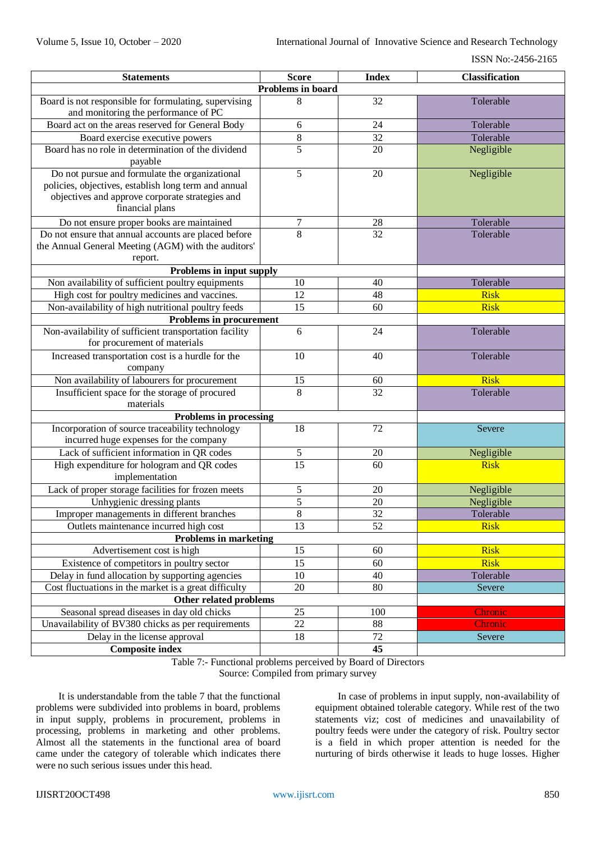| <b>Statements</b>                                                                                                                                                            | <b>Score</b>      | <b>Index</b> | <b>Classification</b> |
|------------------------------------------------------------------------------------------------------------------------------------------------------------------------------|-------------------|--------------|-----------------------|
|                                                                                                                                                                              | Problems in board |              |                       |
| Board is not responsible for formulating, supervising<br>and monitoring the performance of PC                                                                                | 8                 | 32           | Tolerable             |
| Board act on the areas reserved for General Body                                                                                                                             | 6                 | 24           | Tolerable             |
| Board exercise executive powers                                                                                                                                              | 8                 | 32           | Tolerable             |
| Board has no role in determination of the dividend<br>payable                                                                                                                | 5                 | 20           | Negligible            |
| Do not pursue and formulate the organizational<br>policies, objectives, establish long term and annual<br>objectives and approve corporate strategies and<br>financial plans | 5                 | 20           | Negligible            |
| Do not ensure proper books are maintained                                                                                                                                    | $\overline{7}$    | 28           | Tolerable             |
| Do not ensure that annual accounts are placed before<br>the Annual General Meeting (AGM) with the auditors'<br>report.                                                       | $\overline{8}$    | 32           | Tolerable             |
| Problems in input supply                                                                                                                                                     |                   |              |                       |
| Non availability of sufficient poultry equipments                                                                                                                            | 10                | 40           | Tolerable             |
| High cost for poultry medicines and vaccines.                                                                                                                                | 12                | 48           | <b>Risk</b>           |
| Non-availability of high nutritional poultry feeds                                                                                                                           | 15                | 60           | <b>Risk</b>           |
| <b>Problems in procurement</b>                                                                                                                                               |                   |              |                       |
| Non-availability of sufficient transportation facility<br>for procurement of materials                                                                                       | 6                 | 24           | Tolerable             |
| Increased transportation cost is a hurdle for the<br>company                                                                                                                 | 10                | 40           | Tolerable             |
| Non availability of labourers for procurement                                                                                                                                | 15                | 60           | <b>Risk</b>           |
| Insufficient space for the storage of procured<br>materials                                                                                                                  | 8                 | 32           | Tolerable             |
| <b>Problems in processing</b>                                                                                                                                                |                   |              |                       |
| Incorporation of source traceability technology                                                                                                                              | 18                | 72           | Severe                |
| incurred huge expenses for the company                                                                                                                                       |                   |              |                       |
| Lack of sufficient information in QR codes                                                                                                                                   | 5                 | 20           | Negligible            |
| High expenditure for hologram and QR codes<br>implementation                                                                                                                 | $\overline{15}$   | 60           | <b>Risk</b>           |
| Lack of proper storage facilities for frozen meets                                                                                                                           | 5                 | 20           | Negligible            |
| Unhygienic dressing plants                                                                                                                                                   | 5                 | 20           | Negligible            |
| Improper managements in different branches                                                                                                                                   | 8                 | 32           | Tolerable             |
| Outlets maintenance incurred high cost                                                                                                                                       | 13                | 52           | <b>Risk</b>           |
| <b>Problems in marketing</b>                                                                                                                                                 |                   |              |                       |
| Advertisement cost is high                                                                                                                                                   | 15                | 60           | <b>Risk</b>           |
| Existence of competitors in poultry sector                                                                                                                                   | 15                | 60           | <b>Risk</b>           |
| Delay in fund allocation by supporting agencies                                                                                                                              | 10                | 40           | Tolerable             |
| Cost fluctuations in the market is a great difficulty                                                                                                                        | 20                | 80           | Severe                |
| <b>Other related problems</b>                                                                                                                                                |                   |              |                       |
| Seasonal spread diseases in day old chicks                                                                                                                                   | 25                | 100          | Chronic               |
| Unavailability of BV380 chicks as per requirements                                                                                                                           | 22                | 88           | Chronic               |
| Delay in the license approval                                                                                                                                                | 18                | 72           | Severe                |
| <b>Composite index</b>                                                                                                                                                       |                   | 45           |                       |

Table 7:- Functional problems perceived by Board of Directors Source: Compiled from primary survey

It is understandable from the table 7 that the functional problems were subdivided into problems in board, problems in input supply, problems in procurement, problems in processing, problems in marketing and other problems. Almost all the statements in the functional area of board came under the category of tolerable which indicates there were no such serious issues under this head.

In case of problems in input supply, non-availability of equipment obtained tolerable category. While rest of the two statements viz; cost of medicines and unavailability of poultry feeds were under the category of risk. Poultry sector is a field in which proper attention is needed for the nurturing of birds otherwise it leads to huge losses. Higher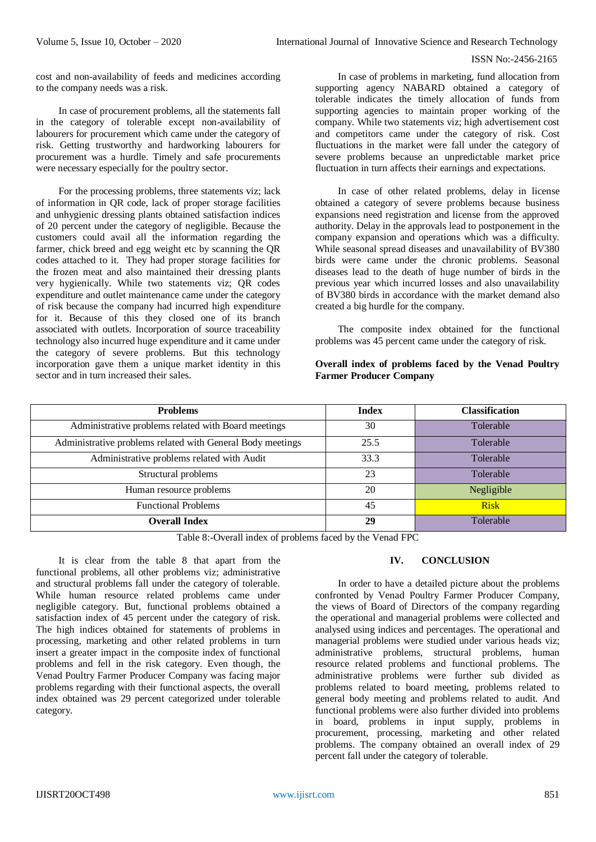cost and non-availability of feeds and medicines according to the company needs was a risk.

In case of procurement problems, all the statements fall in the category of tolerable except non-availability of labourers for procurement which came under the category of risk. Getting trustworthy and hardworking labourers for procurement was a hurdle. Timely and safe procurements were necessary especially for the poultry sector.

For the processing problems, three statements viz; lack of information in QR code, lack of proper storage facilities and unhygienic dressing plants obtained satisfaction indices of 20 percent under the category of negligible. Because the customers could avail all the information regarding the farmer, chick breed and egg weight etc by scanning the QR codes attached to it. They had proper storage facilities for the frozen meat and also maintained their dressing plants very hygienically. While two statements viz; QR codes expenditure and outlet maintenance came under the category of risk because the company had incurred high expenditure for it. Because of this they closed one of its branch associated with outlets. Incorporation of source traceability technology also incurred huge expenditure and it came under the category of severe problems. But this technology incorporation gave them a unique market identity in this sector and in turn increased their sales.

In case of problems in marketing, fund allocation from supporting agency NABARD obtained a category of tolerable indicates the timely allocation of funds from supporting agencies to maintain proper working of the company. While two statements viz; high advertisement cost and competitors came under the category of risk. Cost fluctuations in the market were fall under the category of severe problems because an unpredictable market price fluctuation in turn affects their earnings and expectations.

In case of other related problems, delay in license obtained a category of severe problems because business expansions need registration and license from the approved authority. Delay in the approvals lead to postponement in the company expansion and operations which was a difficulty. While seasonal spread diseases and unavailability of BV380 birds were came under the chronic problems. Seasonal diseases lead to the death of huge number of birds in the previous year which incurred losses and also unavailability of BV380 birds in accordance with the market demand also created a big hurdle for the company.

The composite index obtained for the functional problems was 45 percent came under the category of risk.

# **Overall index of problems faced by the Venad Poultry Farmer Producer Company**

| <b>Problems</b>                                            | <b>Index</b> | <b>Classification</b> |
|------------------------------------------------------------|--------------|-----------------------|
| Administrative problems related with Board meetings        | 30           | Tolerable             |
| Administrative problems related with General Body meetings | 25.5         | Tolerable             |
| Administrative problems related with Audit                 | 33.3         | Tolerable             |
| Structural problems                                        | 23           | Tolerable             |
| Human resource problems                                    | 20           | Negligible            |
| <b>Functional Problems</b>                                 | 45           | <b>Risk</b>           |
| <b>Overall Index</b>                                       | 29           | Tolerable             |

Table 8:-Overall index of problems faced by the Venad FPC

It is clear from the table 8 that apart from the functional problems, all other problems viz; administrative and structural problems fall under the category of tolerable. While human resource related problems came under negligible category. But, functional problems obtained a satisfaction index of 45 percent under the category of risk. The high indices obtained for statements of problems in processing, marketing and other related problems in turn insert a greater impact in the composite index of functional problems and fell in the risk category. Even though, the Venad Poultry Farmer Producer Company was facing major problems regarding with their functional aspects, the overall index obtained was 29 percent categorized under tolerable category.

# **IV. CONCLUSION**

In order to have a detailed picture about the problems confronted by Venad Poultry Farmer Producer Company, the views of Board of Directors of the company regarding the operational and managerial problems were collected and analysed using indices and percentages. The operational and managerial problems were studied under various heads viz; administrative problems, structural problems, human resource related problems and functional problems. The administrative problems were further sub divided as problems related to board meeting, problems related to general body meeting and problems related to audit. And functional problems were also further divided into problems in board, problems in input supply, problems in procurement, processing, marketing and other related problems. The company obtained an overall index of 29 percent fall under the category of tolerable.